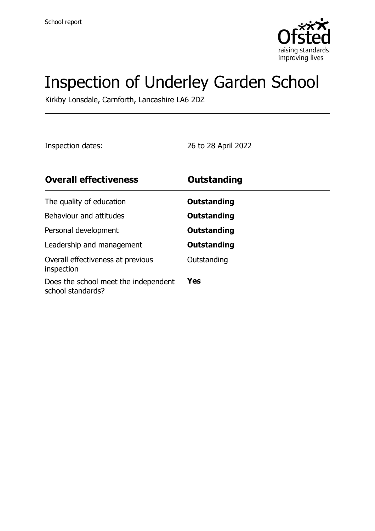

# Inspection of Underley Garden School

Kirkby Lonsdale, Carnforth, Lancashire LA6 2DZ

Inspection dates: 26 to 28 April 2022

| <b>Overall effectiveness</b>                              | <b>Outstanding</b> |
|-----------------------------------------------------------|--------------------|
| The quality of education                                  | Outstanding        |
| Behaviour and attitudes                                   | Outstanding        |
| Personal development                                      | <b>Outstanding</b> |
| Leadership and management                                 | Outstanding        |
| Overall effectiveness at previous<br>inspection           | Outstanding        |
| Does the school meet the independent<br>school standards? | <b>Yes</b>         |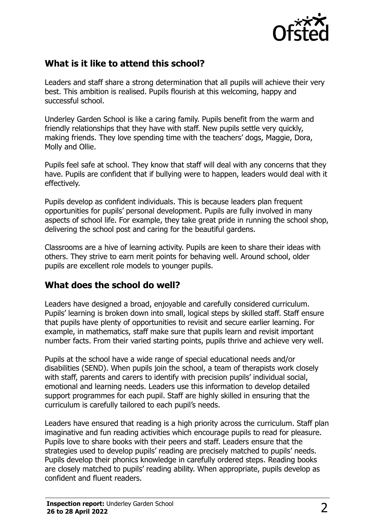

# **What is it like to attend this school?**

Leaders and staff share a strong determination that all pupils will achieve their very best. This ambition is realised. Pupils flourish at this welcoming, happy and successful school.

Underley Garden School is like a caring family. Pupils benefit from the warm and friendly relationships that they have with staff. New pupils settle very quickly, making friends. They love spending time with the teachers' dogs, Maggie, Dora, Molly and Ollie.

Pupils feel safe at school. They know that staff will deal with any concerns that they have. Pupils are confident that if bullying were to happen, leaders would deal with it effectively.

Pupils develop as confident individuals. This is because leaders plan frequent opportunities for pupils' personal development. Pupils are fully involved in many aspects of school life. For example, they take great pride in running the school shop, delivering the school post and caring for the beautiful gardens.

Classrooms are a hive of learning activity. Pupils are keen to share their ideas with others. They strive to earn merit points for behaving well. Around school, older pupils are excellent role models to younger pupils.

# **What does the school do well?**

Leaders have designed a broad, enjoyable and carefully considered curriculum. Pupils' learning is broken down into small, logical steps by skilled staff. Staff ensure that pupils have plenty of opportunities to revisit and secure earlier learning. For example, in mathematics, staff make sure that pupils learn and revisit important number facts. From their varied starting points, pupils thrive and achieve very well.

Pupils at the school have a wide range of special educational needs and/or disabilities (SEND). When pupils join the school, a team of therapists work closely with staff, parents and carers to identify with precision pupils' individual social, emotional and learning needs. Leaders use this information to develop detailed support programmes for each pupil. Staff are highly skilled in ensuring that the curriculum is carefully tailored to each pupil's needs.

Leaders have ensured that reading is a high priority across the curriculum. Staff plan imaginative and fun reading activities which encourage pupils to read for pleasure. Pupils love to share books with their peers and staff. Leaders ensure that the strategies used to develop pupils' reading are precisely matched to pupils' needs. Pupils develop their phonics knowledge in carefully ordered steps. Reading books are closely matched to pupils' reading ability. When appropriate, pupils develop as confident and fluent readers.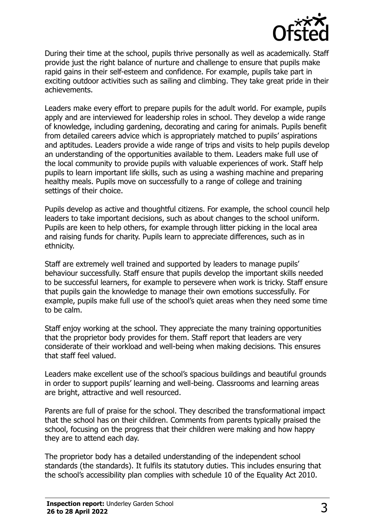

During their time at the school, pupils thrive personally as well as academically. Staff provide just the right balance of nurture and challenge to ensure that pupils make rapid gains in their self-esteem and confidence. For example, pupils take part in exciting outdoor activities such as sailing and climbing. They take great pride in their achievements.

Leaders make every effort to prepare pupils for the adult world. For example, pupils apply and are interviewed for leadership roles in school. They develop a wide range of knowledge, including gardening, decorating and caring for animals. Pupils benefit from detailed careers advice which is appropriately matched to pupils' aspirations and aptitudes. Leaders provide a wide range of trips and visits to help pupils develop an understanding of the opportunities available to them. Leaders make full use of the local community to provide pupils with valuable experiences of work. Staff help pupils to learn important life skills, such as using a washing machine and preparing healthy meals. Pupils move on successfully to a range of college and training settings of their choice.

Pupils develop as active and thoughtful citizens. For example, the school council help leaders to take important decisions, such as about changes to the school uniform. Pupils are keen to help others, for example through litter picking in the local area and raising funds for charity. Pupils learn to appreciate differences, such as in ethnicity.

Staff are extremely well trained and supported by leaders to manage pupils' behaviour successfully. Staff ensure that pupils develop the important skills needed to be successful learners, for example to persevere when work is tricky. Staff ensure that pupils gain the knowledge to manage their own emotions successfully. For example, pupils make full use of the school's quiet areas when they need some time to be calm.

Staff enjoy working at the school. They appreciate the many training opportunities that the proprietor body provides for them. Staff report that leaders are very considerate of their workload and well-being when making decisions. This ensures that staff feel valued.

Leaders make excellent use of the school's spacious buildings and beautiful grounds in order to support pupils' learning and well-being. Classrooms and learning areas are bright, attractive and well resourced.

Parents are full of praise for the school. They described the transformational impact that the school has on their children. Comments from parents typically praised the school, focusing on the progress that their children were making and how happy they are to attend each day.

The proprietor body has a detailed understanding of the independent school standards (the standards). It fulfils its statutory duties. This includes ensuring that the school's accessibility plan complies with schedule 10 of the Equality Act 2010.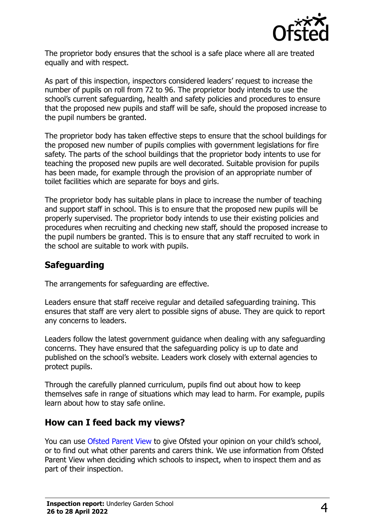

The proprietor body ensures that the school is a safe place where all are treated equally and with respect.

As part of this inspection, inspectors considered leaders' request to increase the number of pupils on roll from 72 to 96. The proprietor body intends to use the school's current safeguarding, health and safety policies and procedures to ensure that the proposed new pupils and staff will be safe, should the proposed increase to the pupil numbers be granted.

The proprietor body has taken effective steps to ensure that the school buildings for the proposed new number of pupils complies with government legislations for fire safety. The parts of the school buildings that the proprietor body intents to use for teaching the proposed new pupils are well decorated. Suitable provision for pupils has been made, for example through the provision of an appropriate number of toilet facilities which are separate for boys and girls.

The proprietor body has suitable plans in place to increase the number of teaching and support staff in school. This is to ensure that the proposed new pupils will be properly supervised. The proprietor body intends to use their existing policies and procedures when recruiting and checking new staff, should the proposed increase to the pupil numbers be granted. This is to ensure that any staff recruited to work in the school are suitable to work with pupils.

# **Safeguarding**

The arrangements for safeguarding are effective.

Leaders ensure that staff receive regular and detailed safeguarding training. This ensures that staff are very alert to possible signs of abuse. They are quick to report any concerns to leaders.

Leaders follow the latest government guidance when dealing with any safeguarding concerns. They have ensured that the safeguarding policy is up to date and published on the school's website. Leaders work closely with external agencies to protect pupils.

Through the carefully planned curriculum, pupils find out about how to keep themselves safe in range of situations which may lead to harm. For example, pupils learn about how to stay safe online.

#### **How can I feed back my views?**

You can use [Ofsted Parent View](http://parentview.ofsted.gov.uk/) to give Ofsted your opinion on your child's school, or to find out what other parents and carers think. We use information from Ofsted Parent View when deciding which schools to inspect, when to inspect them and as part of their inspection.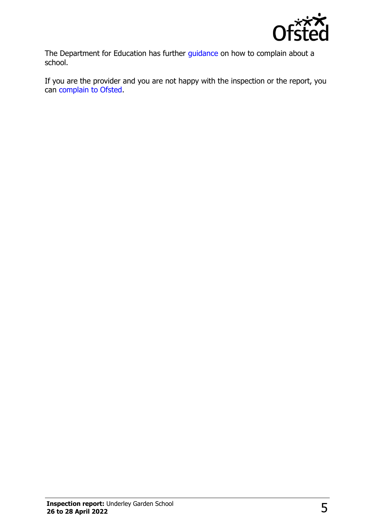

The Department for Education has further [guidance](http://www.gov.uk/complain-about-school) on how to complain about a school.

If you are the provider and you are not happy with the inspection or the report, you can [complain to Ofsted.](http://www.gov.uk/complain-ofsted-report)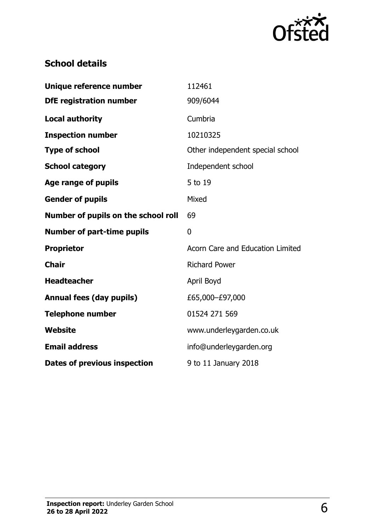

# **School details**

| Unique reference number             | 112461                           |
|-------------------------------------|----------------------------------|
| <b>DfE</b> registration number      | 909/6044                         |
| <b>Local authority</b>              | Cumbria                          |
| <b>Inspection number</b>            | 10210325                         |
| <b>Type of school</b>               | Other independent special school |
| <b>School category</b>              | Independent school               |
| Age range of pupils                 | 5 to 19                          |
| <b>Gender of pupils</b>             | Mixed                            |
| Number of pupils on the school roll | 69                               |
|                                     |                                  |
| <b>Number of part-time pupils</b>   | $\mathbf 0$                      |
| <b>Proprietor</b>                   | Acorn Care and Education Limited |
| <b>Chair</b>                        | <b>Richard Power</b>             |
| <b>Headteacher</b>                  | April Boyd                       |
| <b>Annual fees (day pupils)</b>     | £65,000-£97,000                  |
| <b>Telephone number</b>             | 01524 271 569                    |
| <b>Website</b>                      | www.underleygarden.co.uk         |
| <b>Email address</b>                | info@underleygarden.org          |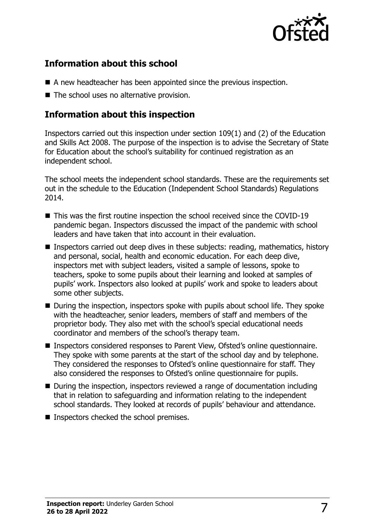

# **Information about this school**

- A new headteacher has been appointed since the previous inspection.
- The school uses no alternative provision.

# **Information about this inspection**

Inspectors carried out this inspection under section 109(1) and (2) of the Education and Skills Act 2008. The purpose of the inspection is to advise the Secretary of State for Education about the school's suitability for continued registration as an independent school.

The school meets the independent school standards. These are the requirements set out in the schedule to the Education (Independent School Standards) Regulations 2014.

- This was the first routine inspection the school received since the COVID-19 pandemic began. Inspectors discussed the impact of the pandemic with school leaders and have taken that into account in their evaluation.
- Inspectors carried out deep dives in these subjects: reading, mathematics, history and personal, social, health and economic education. For each deep dive, inspectors met with subject leaders, visited a sample of lessons, spoke to teachers, spoke to some pupils about their learning and looked at samples of pupils' work. Inspectors also looked at pupils' work and spoke to leaders about some other subjects.
- During the inspection, inspectors spoke with pupils about school life. They spoke with the headteacher, senior leaders, members of staff and members of the proprietor body. They also met with the school's special educational needs coordinator and members of the school's therapy team.
- Inspectors considered responses to Parent View, Ofsted's online questionnaire. They spoke with some parents at the start of the school day and by telephone. They considered the responses to Ofsted's online questionnaire for staff. They also considered the responses to Ofsted's online questionnaire for pupils.
- During the inspection, inspectors reviewed a range of documentation including that in relation to safeguarding and information relating to the independent school standards. They looked at records of pupils' behaviour and attendance.
- Inspectors checked the school premises.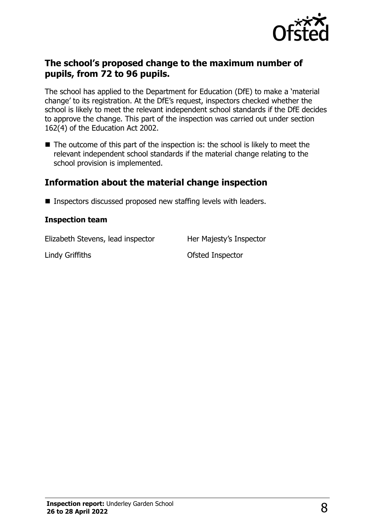

#### **The school's proposed change to the maximum number of pupils, from 72 to 96 pupils.**

The school has applied to the Department for Education (DfE) to make a 'material change' to its registration. At the DfE's request, inspectors checked whether the school is likely to meet the relevant independent school standards if the DfE decides to approve the change. This part of the inspection was carried out under section 162(4) of the Education Act 2002.

■ The outcome of this part of the inspection is: the school is likely to meet the relevant independent school standards if the material change relating to the school provision is implemented.

### **Information about the material change inspection**

■ Inspectors discussed proposed new staffing levels with leaders.

#### **Inspection team**

Elizabeth Stevens, lead inspector Her Majesty's Inspector

Lindy Griffiths Ofsted Inspector